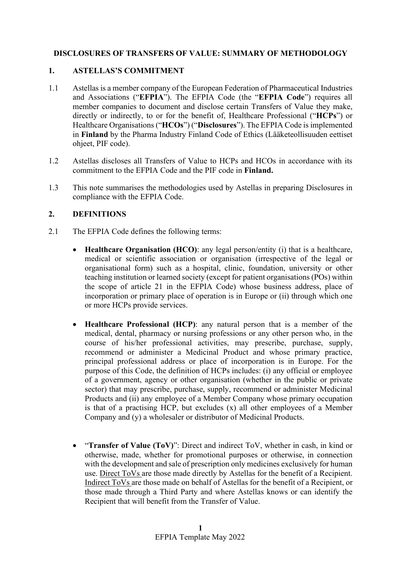## **DISCLOSURES OF TRANSFERS OF VALUE: SUMMARY OF METHODOLOGY**

#### **1. ASTELLAS'S COMMITMENT**

- 1.1 Astellas is a member company of the European Federation of Pharmaceutical Industries and Associations ("**EFPIA**"). The EFPIA Code (the "**EFPIA Code**") requires all member companies to document and disclose certain Transfers of Value they make, directly or indirectly, to or for the benefit of, Healthcare Professional ("**HCPs**") or Healthcare Organisations ("**HCOs**") ("**Disclosures**"). The EFPIA Code is implemented in **Finland** by the Pharma Industry Finland Code of Ethics (Lääketeollisuuden eettiset ohjeet, PIF code).
- 1.2 Astellas discloses all Transfers of Value to HCPs and HCOs in accordance with its commitment to the EFPIA Code and the PIF code in **Finland.**
- 1.3 This note summarises the methodologies used by Astellas in preparing Disclosures in compliance with the EFPIA Code.

### **2. DEFINITIONS**

- 2.1 The EFPIA Code defines the following terms:
	- **Healthcare Organisation (HCO)**: any legal person/entity (i) that is a healthcare, medical or scientific association or organisation (irrespective of the legal or organisational form) such as a hospital, clinic, foundation, university or other teaching institution or learned society (except for patient organisations (POs) within the scope of article 21 in the EFPIA Code) whose business address, place of incorporation or primary place of operation is in Europe or (ii) through which one or more HCPs provide services.
	- **Healthcare Professional (HCP)**: any natural person that is a member of the medical, dental, pharmacy or nursing professions or any other person who, in the course of his/her professional activities, may prescribe, purchase, supply, recommend or administer a Medicinal Product and whose primary practice, principal professional address or place of incorporation is in Europe. For the purpose of this Code, the definition of HCPs includes: (i) any official or employee of a government, agency or other organisation (whether in the public or private sector) that may prescribe, purchase, supply, recommend or administer Medicinal Products and (ii) any employee of a Member Company whose primary occupation is that of a practising HCP, but excludes (x) all other employees of a Member Company and (y) a wholesaler or distributor of Medicinal Products.
	- "**Transfer of Value (ToV)**": Direct and indirect ToV, whether in cash, in kind or otherwise, made, whether for promotional purposes or otherwise, in connection with the development and sale of prescription only medicines exclusively for human use. Direct ToVs are those made directly by Astellas for the benefit of a Recipient. Indirect ToVs are those made on behalf of Astellas for the benefit of a Recipient, or those made through a Third Party and where Astellas knows or can identify the Recipient that will benefit from the Transfer of Value.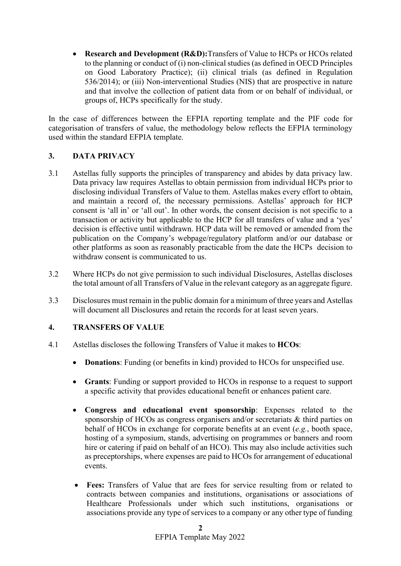**Research and Development (R&D):**Transfers of Value to HCPs or HCOs related to the planning or conduct of (i) non-clinical studies (as defined in OECD Principles on Good Laboratory Practice); (ii) clinical trials (as defined in Regulation 536/2014); or (iii) Non-interventional Studies (NIS) that are prospective in nature and that involve the collection of patient data from or on behalf of individual, or groups of, HCPs specifically for the study.

In the case of differences between the EFPIA reporting template and the PIF code for categorisation of transfers of value, the methodology below reflects the EFPIA terminology used within the standard EFPIA template.

### **3. DATA PRIVACY**

- 3.1 Astellas fully supports the principles of transparency and abides by data privacy law. Data privacy law requires Astellas to obtain permission from individual HCPs prior to disclosing individual Transfers of Value to them. Astellas makes every effort to obtain, and maintain a record of, the necessary permissions. Astellas' approach for HCP consent is 'all in' or 'all out'. In other words, the consent decision is not specific to a transaction or activity but applicable to the HCP for all transfers of value and a 'yes' decision is effective until withdrawn. HCP data will be removed or amended from the publication on the Company's webpage/regulatory platform and/or our database or other platforms as soon as reasonably practicable from the date the HCPs decision to withdraw consent is communicated to us.
- 3.2 Where HCPs do not give permission to such individual Disclosures, Astellas discloses the total amount of all Transfers of Value in the relevant category as an aggregate figure.
- 3.3 Disclosures must remain in the public domain for a minimum of three years and Astellas will document all Disclosures and retain the records for at least seven years.

### **4. TRANSFERS OF VALUE**

- 4.1 Astellas discloses the following Transfers of Value it makes to **HCOs**:
	- **Donations**: Funding (or benefits in kind) provided to HCOs for unspecified use.
	- **Grants**: Funding or support provided to HCOs in response to a request to support a specific activity that provides educational benefit or enhances patient care.
	- **Congress and educational event sponsorship**: Expenses related to the sponsorship of HCOs as congress organisers and/or secretariats & third parties on behalf of HCOs in exchange for corporate benefits at an event (*e.g.*, booth space, hosting of a symposium, stands, advertising on programmes or banners and room hire or catering if paid on behalf of an HCO). This may also include activities such as preceptorships, where expenses are paid to HCOs for arrangement of educational events.
	- **Fees:** Transfers of Value that are fees for service resulting from or related to contracts between companies and institutions, organisations or associations of Healthcare Professionals under which such institutions, organisations or associations provide any type of services to a company or any other type of funding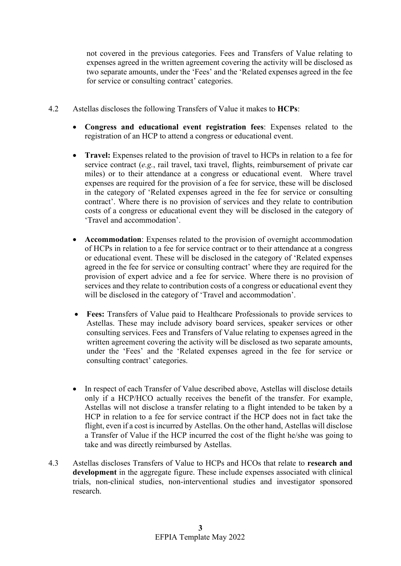not covered in the previous categories. Fees and Transfers of Value relating to expenses agreed in the written agreement covering the activity will be disclosed as two separate amounts, under the 'Fees' and the 'Related expenses agreed in the fee for service or consulting contract' categories.

- 4.2 Astellas discloses the following Transfers of Value it makes to **HCPs**:
	- **Congress and educational event registration fees**: Expenses related to the registration of an HCP to attend a congress or educational event.
	- **Travel:** Expenses related to the provision of travel to HCPs in relation to a fee for service contract (*e.g.*, rail travel, taxi travel, flights, reimbursement of private car miles) or to their attendance at a congress or educational event. Where travel expenses are required for the provision of a fee for service, these will be disclosed in the category of 'Related expenses agreed in the fee for service or consulting contract'. Where there is no provision of services and they relate to contribution costs of a congress or educational event they will be disclosed in the category of 'Travel and accommodation'.
	- **Accommodation**: Expenses related to the provision of overnight accommodation of HCPs in relation to a fee for service contract or to their attendance at a congress or educational event. These will be disclosed in the category of 'Related expenses agreed in the fee for service or consulting contract' where they are required for the provision of expert advice and a fee for service. Where there is no provision of services and they relate to contribution costs of a congress or educational event they will be disclosed in the category of 'Travel and accommodation'.
	- **Fees:** Transfers of Value paid to Healthcare Professionals to provide services to Astellas. These may include advisory board services, speaker services or other consulting services. Fees and Transfers of Value relating to expenses agreed in the written agreement covering the activity will be disclosed as two separate amounts, under the 'Fees' and the 'Related expenses agreed in the fee for service or consulting contract' categories.
	- In respect of each Transfer of Value described above, Astellas will disclose details only if a HCP/HCO actually receives the benefit of the transfer. For example, Astellas will not disclose a transfer relating to a flight intended to be taken by a HCP in relation to a fee for service contract if the HCP does not in fact take the flight, even if a cost is incurred by Astellas. On the other hand, Astellas will disclose a Transfer of Value if the HCP incurred the cost of the flight he/she was going to take and was directly reimbursed by Astellas.
- 4.3 Astellas discloses Transfers of Value to HCPs and HCOs that relate to **research and development** in the aggregate figure. These include expenses associated with clinical trials, non-clinical studies, non-interventional studies and investigator sponsored research.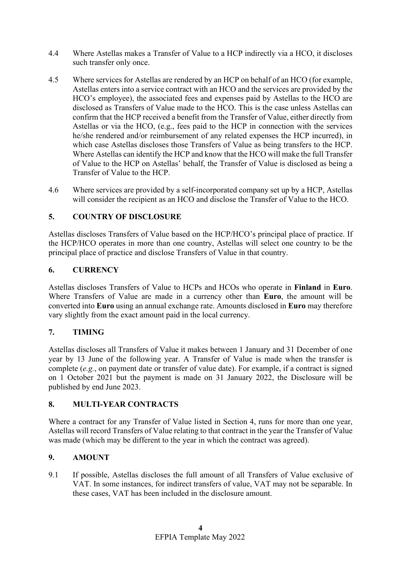- 4.4 Where Astellas makes a Transfer of Value to a HCP indirectly via a HCO, it discloses such transfer only once.
- 4.5 Where services for Astellas are rendered by an HCP on behalf of an HCO (for example, Astellas enters into a service contract with an HCO and the services are provided by the HCO's employee), the associated fees and expenses paid by Astellas to the HCO are disclosed as Transfers of Value made to the HCO. This is the case unless Astellas can confirm that the HCP received a benefit from the Transfer of Value, either directly from Astellas or via the HCO, (e.g., fees paid to the HCP in connection with the services he/she rendered and/or reimbursement of any related expenses the HCP incurred), in which case Astellas discloses those Transfers of Value as being transfers to the HCP. Where Astellas can identify the HCP and know that the HCO will make the full Transfer of Value to the HCP on Astellas' behalf, the Transfer of Value is disclosed as being a Transfer of Value to the HCP.
- 4.6 Where services are provided by a self-incorporated company set up by a HCP, Astellas will consider the recipient as an HCO and disclose the Transfer of Value to the HCO.

# **5. COUNTRY OF DISCLOSURE**

Astellas discloses Transfers of Value based on the HCP/HCO's principal place of practice. If the HCP/HCO operates in more than one country, Astellas will select one country to be the principal place of practice and disclose Transfers of Value in that country.

### **6. CURRENCY**

Astellas discloses Transfers of Value to HCPs and HCOs who operate in **Finland** in **Euro**. Where Transfers of Value are made in a currency other than **Euro**, the amount will be converted into **Euro** using an annual exchange rate. Amounts disclosed in **Euro** may therefore vary slightly from the exact amount paid in the local currency.

### **7. TIMING**

Astellas discloses all Transfers of Value it makes between 1 January and 31 December of one year by 13 June of the following year. A Transfer of Value is made when the transfer is complete (*e.g.*, on payment date or transfer of value date). For example, if a contract is signed on 1 October 2021 but the payment is made on 31 January 2022, the Disclosure will be published by end June 2023.

### **8. MULTI-YEAR CONTRACTS**

Where a contract for any Transfer of Value listed in Section 4, runs for more than one year, Astellas will record Transfers of Value relating to that contract in the year the Transfer of Value was made (which may be different to the year in which the contract was agreed).

### **9. AMOUNT**

9.1 If possible, Astellas discloses the full amount of all Transfers of Value exclusive of VAT. In some instances, for indirect transfers of value, VAT may not be separable. In these cases, VAT has been included in the disclosure amount.